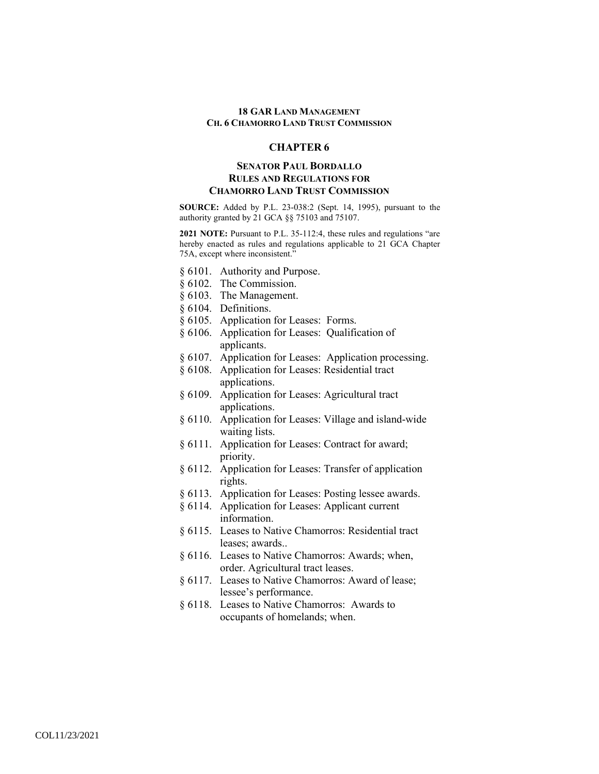## **CHAPTER 6**

# **SENATOR PAUL BORDALLO RULES AND REGULATIONS FOR CHAMORRO LAND TRUST COMMISSION**

**SOURCE:** Added by P.L. 23-038:2 (Sept. 14, 1995), pursuant to the authority granted by 21 GCA §§ 75103 and 75107.

**2021 NOTE:** Pursuant to P.L. 35-112:4, these rules and regulations "are hereby enacted as rules and regulations applicable to 21 GCA Chapter 75A, except where inconsistent."

- § 6101. Authority and Purpose.
- § 6102. The Commission.
- § 6103. The Management.
- § 6104. Definitions.
- § 6105. Application for Leases: Forms.
- § 6106. Application for Leases: Qualification of applicants.
- § 6107. Application for Leases: Application processing.
- § 6108. Application for Leases: Residential tract applications.
- § 6109. Application for Leases: Agricultural tract applications.
- § 6110. Application for Leases: Village and island-wide waiting lists.
- § 6111. Application for Leases: Contract for award; priority.
- § 6112. Application for Leases: Transfer of application rights.
- § 6113. Application for Leases: Posting lessee awards.
- § 6114. Application for Leases: Applicant current information.
- § 6115. Leases to Native Chamorros: Residential tract leases; awards..
- § 6116. Leases to Native Chamorros: Awards; when, order. Agricultural tract leases.
- § 6117. Leases to Native Chamorros: Award of lease; lessee's performance.
- § 6118. Leases to Native Chamorros: Awards to occupants of homelands; when.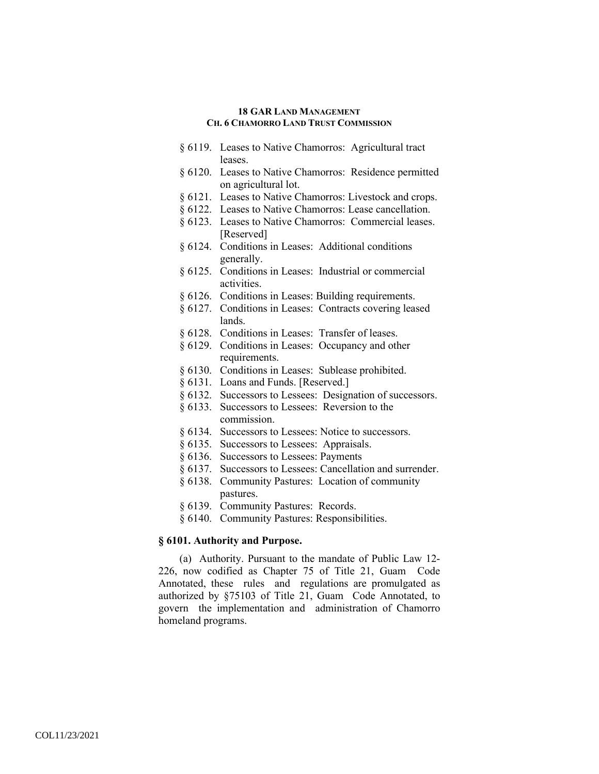- § 6119. Leases to Native Chamorros: Agricultural tract leases.
- § 6120. Leases to Native Chamorros: Residence permitted on agricultural lot.
- § 6121. Leases to Native Chamorros: Livestock and crops.
- § 6122. Leases to Native Chamorros: Lease cancellation.
- § 6123. Leases to Native Chamorros: Commercial leases. [Reserved]
- § 6124. Conditions in Leases: Additional conditions generally.
- § 6125. Conditions in Leases: Industrial or commercial activities.
- § 6126. Conditions in Leases: Building requirements.
- § 6127. Conditions in Leases: Contracts covering leased lands.
- § 6128. Conditions in Leases: Transfer of leases.
- § 6129. Conditions in Leases: Occupancy and other requirements.
- § 6130. Conditions in Leases: Sublease prohibited.
- § 6131. Loans and Funds. [Reserved.]
- § 6132. Successors to Lessees: Designation of successors.
- § 6133. Successors to Lessees: Reversion to the commission.
- § 6134. Successors to Lessees: Notice to successors.
- § 6135. Successors to Lessees: Appraisals.
- § 6136. Successors to Lessees: Payments
- § 6137. Successors to Lessees: Cancellation and surrender.
- § 6138. Community Pastures: Location of community pastures.
- § 6139. Community Pastures: Records.
- § 6140. Community Pastures: Responsibilities.

## **§ 6101. Authority and Purpose.**

(a) Authority. Pursuant to the mandate of Public Law 12- 226, now codified as Chapter 75 of Title 21, Guam Code Annotated, these rules and regulations are promulgated as authorized by §75103 of Title 21, Guam Code Annotated, to govern the implementation and administration of Chamorro homeland programs.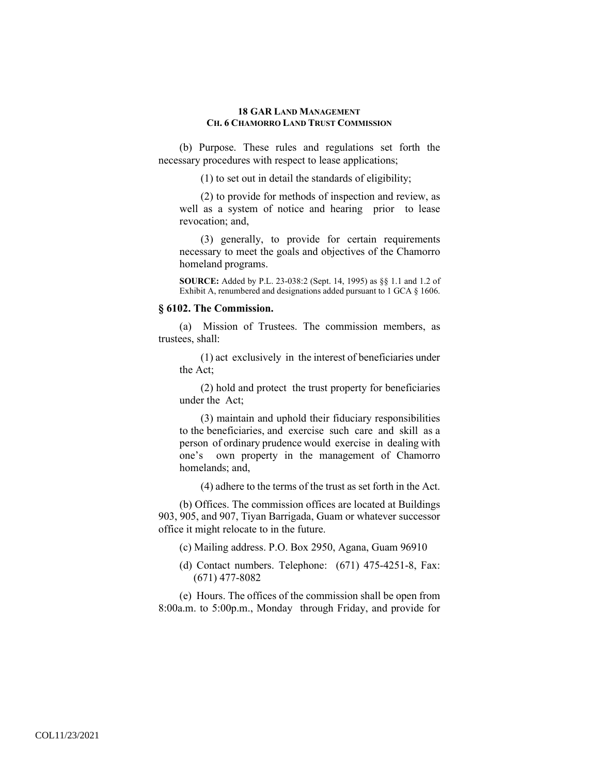(b) Purpose. These rules and regulations set forth the necessary procedures with respect to lease applications;

(1) to set out in detail the standards of eligibility;

(2) to provide for methods of inspection and review, as well as a system of notice and hearing prior to lease revocation; and,

(3) generally, to provide for certain requirements necessary to meet the goals and objectives of the Chamorro homeland programs.

**SOURCE:** Added by P.L. 23-038:2 (Sept. 14, 1995) as §§ 1.1 and 1.2 of Exhibit A, renumbered and designations added pursuant to 1 GCA § 1606.

#### **§ 6102. The Commission.**

(a) Mission of Trustees. The commission members, as trustees, shall:

(1) act exclusively in the interest of beneficiaries under the Act;

(2) hold and protect the trust property for beneficiaries under the Act;

(3) maintain and uphold their fiduciary responsibilities to the beneficiaries, and exercise such care and skill as a person of ordinary prudence would exercise in dealing with one's own property in the management of Chamorro homelands; and,

(4) adhere to the terms of the trust as set forth in the Act.

(b) Offices. The commission offices are located at Buildings 903, 905, and 907, Tiyan Barrigada, Guam or whatever successor office it might relocate to in the future.

- (c) Mailing address. P.O. Box 2950, Agana, Guam 96910
- (d) Contact numbers. Telephone: (671) 475-4251-8, Fax: (671) 477-8082

(e) Hours. The offices of the commission shall be open from 8:00a.m. to 5:00p.m., Monday through Friday, and provide for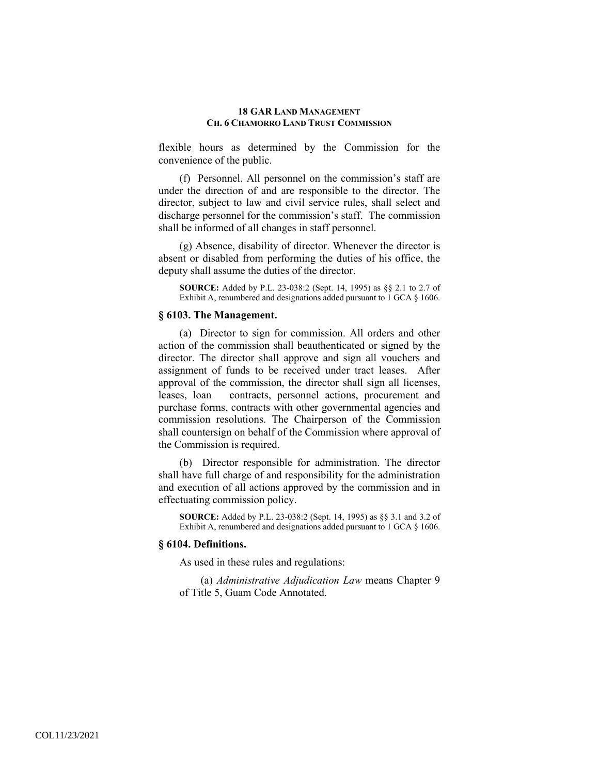flexible hours as determined by the Commission for the convenience of the public.

(f) Personnel. All personnel on the commission's staff are under the direction of and are responsible to the director. The director, subject to law and civil service rules, shall select and discharge personnel for the commission's staff. The commission shall be informed of all changes in staff personnel.

(g) Absence, disability of director. Whenever the director is absent or disabled from performing the duties of his office, the deputy shall assume the duties of the director.

**SOURCE:** Added by P.L. 23-038:2 (Sept. 14, 1995) as §§ 2.1 to 2.7 of Exhibit A, renumbered and designations added pursuant to 1 GCA § 1606.

#### **§ 6103. The Management.**

(a) Director to sign for commission. All orders and other action of the commission shall beauthenticated or signed by the director. The director shall approve and sign all vouchers and assignment of funds to be received under tract leases. After approval of the commission, the director shall sign all licenses, leases, loan contracts, personnel actions, procurement and purchase forms, contracts with other governmental agencies and commission resolutions. The Chairperson of the Commission shall countersign on behalf of the Commission where approval of the Commission is required.

(b) Director responsible for administration. The director shall have full charge of and responsibility for the administration and execution of all actions approved by the commission and in effectuating commission policy.

**SOURCE:** Added by P.L. 23-038:2 (Sept. 14, 1995) as §§ 3.1 and 3.2 of Exhibit A, renumbered and designations added pursuant to 1 GCA § 1606.

## **§ 6104. Definitions.**

As used in these rules and regulations:

(a) *Administrative Adjudication Law* means Chapter 9 of Title 5, Guam Code Annotated.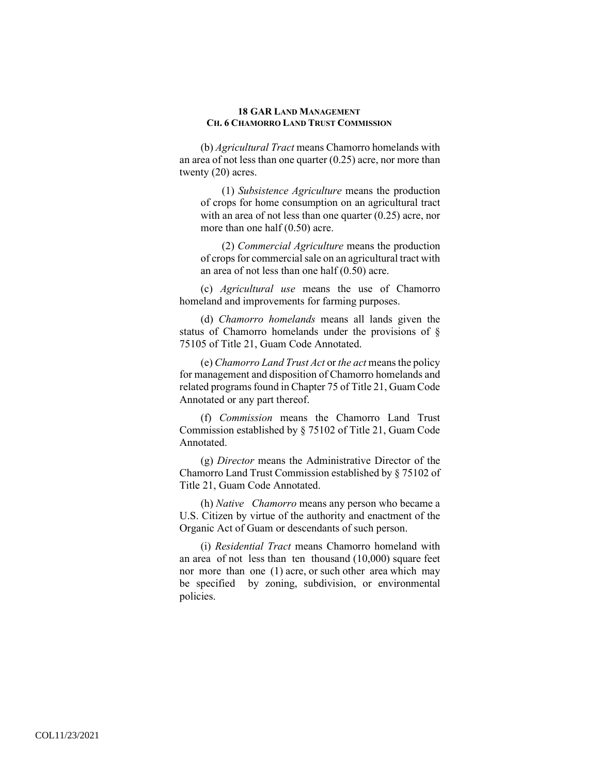(b) *Agricultural Tract* means Chamorro homelands with an area of not less than one quarter (0.25) acre, nor more than twenty (20) acres.

(1) *Subsistence Agriculture* means the production of crops for home consumption on an agricultural tract with an area of not less than one quarter (0.25) acre, nor more than one half (0.50) acre.

(2) *Commercial Agriculture* means the production of crops for commercial sale on an agricultural tract with an area of not less than one half (0.50) acre.

(c) *Agricultural use* means the use of Chamorro homeland and improvements for farming purposes.

(d) *Chamorro homelands* means all lands given the status of Chamorro homelands under the provisions of § 75105 of Title 21, Guam Code Annotated.

(e) *Chamorro Land Trust Act* or *the act* means the policy for management and disposition of Chamorro homelands and related programs found in Chapter 75 of Title 21, Guam Code Annotated or any part thereof.

(f) *Commission* means the Chamorro Land Trust Commission established by § 75102 of Title 21, Guam Code Annotated.

(g) *Director* means the Administrative Director of the Chamorro Land Trust Commission established by § 75102 of Title 21, Guam Code Annotated.

(h) *Native Chamorro* means any person who became a U.S. Citizen by virtue of the authority and enactment of the Organic Act of Guam or descendants of such person.

(i) *Residential Tract* means Chamorro homeland with an area of not less than ten thousand (10,000) square feet nor more than one (1) acre, or such other area which may be specified by zoning, subdivision, or environmental policies.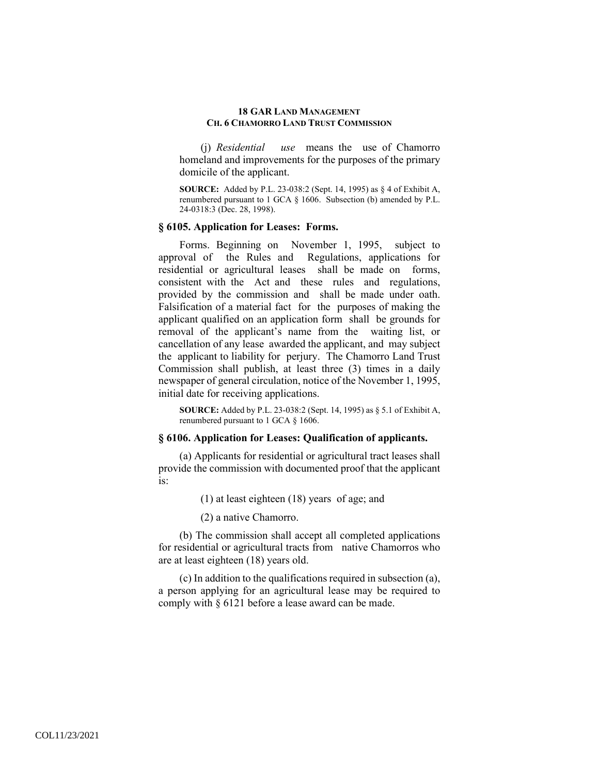(j) *Residential use* means the use of Chamorro homeland and improvements for the purposes of the primary domicile of the applicant.

**SOURCE:** Added by P.L. 23-038:2 (Sept. 14, 1995) as § 4 of Exhibit A, renumbered pursuant to 1 GCA § 1606. Subsection (b) amended by P.L. 24-0318:3 (Dec. 28, 1998).

#### **§ 6105. Application for Leases: Forms.**

Forms. Beginning on November 1, 1995, subject to approval of the Rules and Regulations, applications for residential or agricultural leases shall be made on forms, consistent with the Act and these rules and regulations, provided by the commission and shall be made under oath. Falsification of a material fact for the purposes of making the applicant qualified on an application form shall be grounds for removal of the applicant's name from the waiting list, or cancellation of any lease awarded the applicant, and may subject the applicant to liability for perjury. The Chamorro Land Trust Commission shall publish, at least three (3) times in a daily newspaper of general circulation, notice of the November 1, 1995, initial date for receiving applications.

**SOURCE:** Added by P.L. 23-038:2 (Sept. 14, 1995) as § 5.1 of Exhibit A, renumbered pursuant to 1 GCA § 1606.

### **§ 6106. Application for Leases: Qualification of applicants.**

(a) Applicants for residential or agricultural tract leases shall provide the commission with documented proof that the applicant is:

(1) at least eighteen (18) years of age; and

(2) a native Chamorro.

(b) The commission shall accept all completed applications for residential or agricultural tracts from native Chamorros who are at least eighteen (18) years old.

(c) In addition to the qualifications required in subsection (a), a person applying for an agricultural lease may be required to comply with § 6121 before a lease award can be made.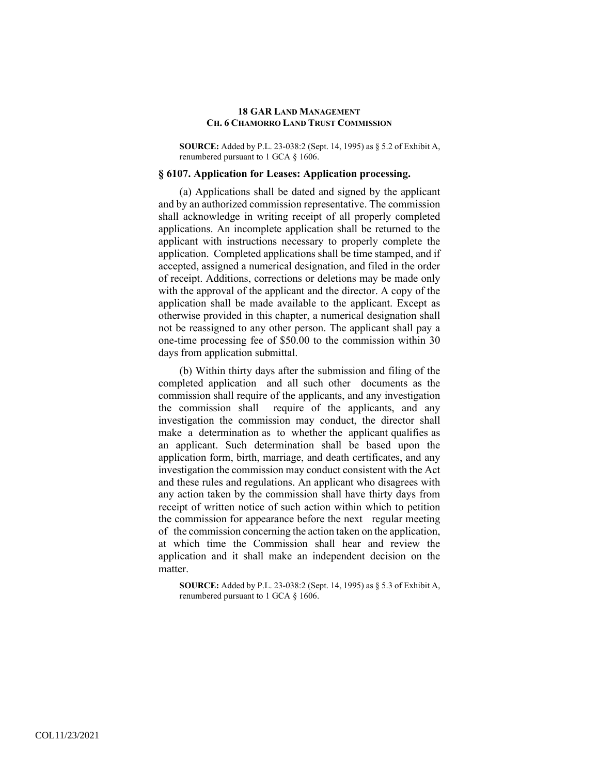**SOURCE:** Added by P.L. 23-038:2 (Sept. 14, 1995) as § 5.2 of Exhibit A, renumbered pursuant to 1 GCA § 1606.

#### **§ 6107. Application for Leases: Application processing.**

(a) Applications shall be dated and signed by the applicant and by an authorized commission representative. The commission shall acknowledge in writing receipt of all properly completed applications. An incomplete application shall be returned to the applicant with instructions necessary to properly complete the application. Completed applications shall be time stamped, and if accepted, assigned a numerical designation, and filed in the order of receipt. Additions, corrections or deletions may be made only with the approval of the applicant and the director. A copy of the application shall be made available to the applicant. Except as otherwise provided in this chapter, a numerical designation shall not be reassigned to any other person. The applicant shall pay a one-time processing fee of \$50.00 to the commission within 30 days from application submittal.

(b) Within thirty days after the submission and filing of the completed application and all such other documents as the commission shall require of the applicants, and any investigation the commission shall require of the applicants, and any investigation the commission may conduct, the director shall make a determination as to whether the applicant qualifies as an applicant. Such determination shall be based upon the application form, birth, marriage, and death certificates, and any investigation the commission may conduct consistent with the Act and these rules and regulations. An applicant who disagrees with any action taken by the commission shall have thirty days from receipt of written notice of such action within which to petition the commission for appearance before the next regular meeting of the commission concerning the action taken on the application, at which time the Commission shall hear and review the application and it shall make an independent decision on the matter.

**SOURCE:** Added by P.L. 23-038:2 (Sept. 14, 1995) as § 5.3 of Exhibit A, renumbered pursuant to 1 GCA § 1606.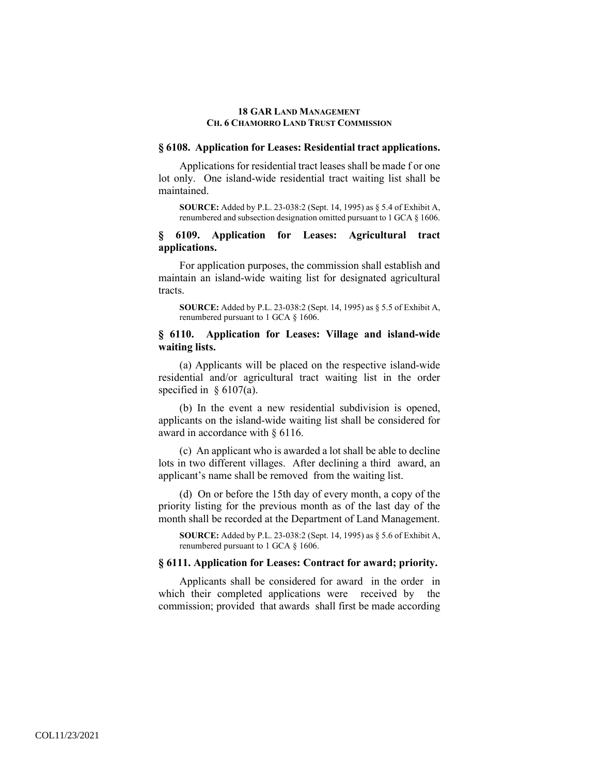## **§ 6108. Application for Leases: Residential tract applications.**

Applications for residential tract leases shall be made f or one lot only. One island-wide residential tract waiting list shall be maintained.

**SOURCE:** Added by P.L. 23-038:2 (Sept. 14, 1995) as § 5.4 of Exhibit A, renumbered and subsection designation omitted pursuant to 1 GCA § 1606.

## **§ 6109. Application for Leases: Agricultural tract applications.**

For application purposes, the commission shall establish and maintain an island-wide waiting list for designated agricultural tracts.

**SOURCE:** Added by P.L. 23-038:2 (Sept. 14, 1995) as § 5.5 of Exhibit A, renumbered pursuant to 1 GCA § 1606.

## **§ 6110. Application for Leases: Village and island-wide waiting lists.**

(a) Applicants will be placed on the respective island-wide residential and/or agricultural tract waiting list in the order specified in  $\S 6107(a)$ .

(b) In the event a new residential subdivision is opened, applicants on the island-wide waiting list shall be considered for award in accordance with § 6116.

(c) An applicant who is awarded a lot shall be able to decline lots in two different villages. After declining a third award, an applicant's name shall be removed from the waiting list.

(d) On or before the 15th day of every month, a copy of the priority listing for the previous month as of the last day of the month shall be recorded at the Department of Land Management.

**SOURCE:** Added by P.L. 23-038:2 (Sept. 14, 1995) as § 5.6 of Exhibit A, renumbered pursuant to 1 GCA § 1606.

## **§ 6111. Application for Leases: Contract for award; priority.**

Applicants shall be considered for award in the order in which their completed applications were received by the commission; provided that awards shall first be made according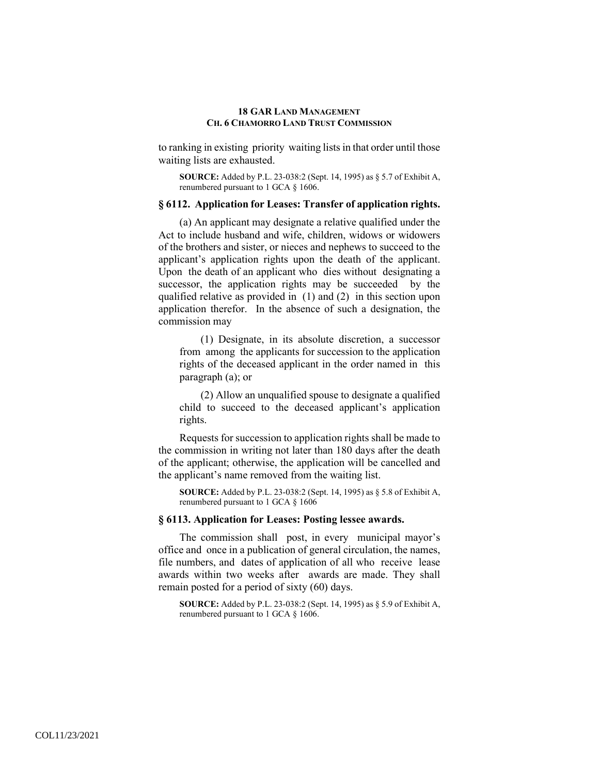to ranking in existing priority waiting lists in that order until those waiting lists are exhausted.

**SOURCE:** Added by P.L. 23-038:2 (Sept. 14, 1995) as § 5.7 of Exhibit A, renumbered pursuant to 1 GCA § 1606.

# **§ 6112. Application for Leases: Transfer of application rights.**

(a) An applicant may designate a relative qualified under the Act to include husband and wife, children, widows or widowers of the brothers and sister, or nieces and nephews to succeed to the applicant's application rights upon the death of the applicant. Upon the death of an applicant who dies without designating a successor, the application rights may be succeeded by the qualified relative as provided in (1) and (2) in this section upon application therefor. In the absence of such a designation, the commission may

(1) Designate, in its absolute discretion, a successor from among the applicants for succession to the application rights of the deceased applicant in the order named in this paragraph (a); or

(2) Allow an unqualified spouse to designate a qualified child to succeed to the deceased applicant's application rights.

Requests for succession to application rights shall be made to the commission in writing not later than 180 days after the death of the applicant; otherwise, the application will be cancelled and the applicant's name removed from the waiting list.

**SOURCE:** Added by P.L. 23-038:2 (Sept. 14, 1995) as § 5.8 of Exhibit A, renumbered pursuant to 1 GCA § 1606

## **§ 6113. Application for Leases: Posting lessee awards.**

The commission shall post, in every municipal mayor's office and once in a publication of general circulation, the names, file numbers, and dates of application of all who receive lease awards within two weeks after awards are made. They shall remain posted for a period of sixty (60) days.

**SOURCE:** Added by P.L. 23-038:2 (Sept. 14, 1995) as § 5.9 of Exhibit A, renumbered pursuant to 1 GCA § 1606.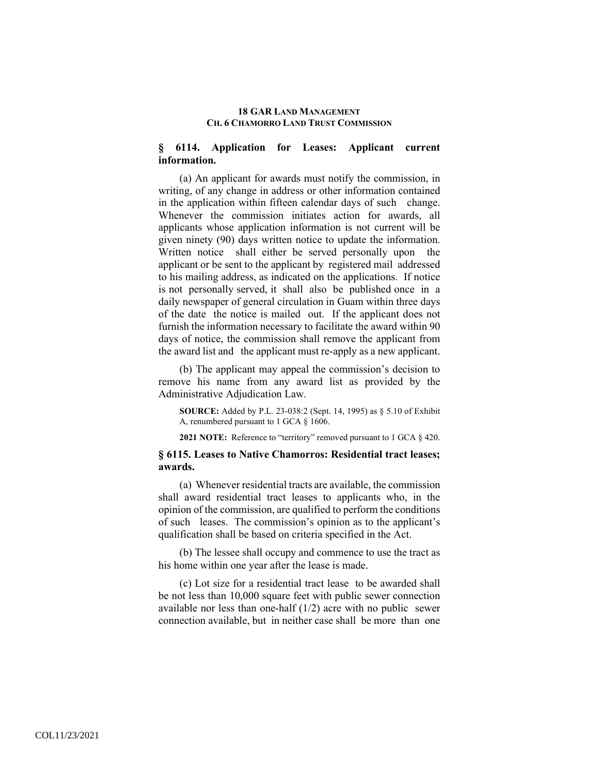# **§ 6114. Application for Leases: Applicant current information.**

(a) An applicant for awards must notify the commission, in writing, of any change in address or other information contained in the application within fifteen calendar days of such change. Whenever the commission initiates action for awards, all applicants whose application information is not current will be given ninety (90) days written notice to update the information. Written notice shall either be served personally upon the applicant or be sent to the applicant by registered mail addressed to his mailing address, as indicated on the applications. If notice is not personally served, it shall also be published once in a daily newspaper of general circulation in Guam within three days of the date the notice is mailed out. If the applicant does not furnish the information necessary to facilitate the award within 90 days of notice, the commission shall remove the applicant from the award list and the applicant must re-apply as a new applicant.

(b) The applicant may appeal the commission's decision to remove his name from any award list as provided by the Administrative Adjudication Law.

**SOURCE:** Added by P.L. 23-038:2 (Sept. 14, 1995) as § 5.10 of Exhibit A, renumbered pursuant to 1 GCA § 1606.

**2021 NOTE:** Reference to "territory" removed pursuant to 1 GCA § 420.

# **§ 6115. Leases to Native Chamorros: Residential tract leases; awards.**

(a) Whenever residential tracts are available, the commission shall award residential tract leases to applicants who, in the opinion of the commission, are qualified to perform the conditions of such leases. The commission's opinion as to the applicant's qualification shall be based on criteria specified in the Act.

(b) The lessee shall occupy and commence to use the tract as his home within one year after the lease is made.

(c) Lot size for a residential tract lease to be awarded shall be not less than 10,000 square feet with public sewer connection available nor less than one-half (1/2) acre with no public sewer connection available, but in neither case shall be more than one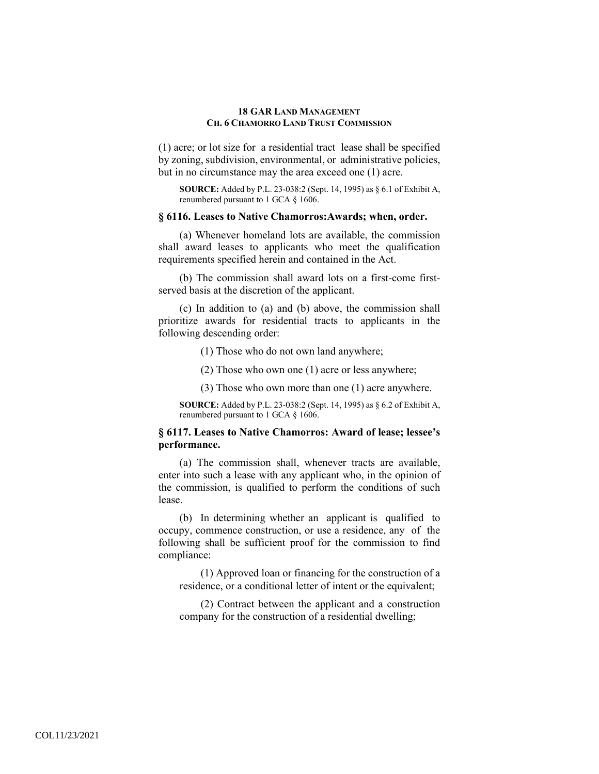(1) acre; or lot size for a residential tract lease shall be specified by zoning, subdivision, environmental, or administrative policies, but in no circumstance may the area exceed one (1) acre.

**SOURCE:** Added by P.L. 23-038:2 (Sept. 14, 1995) as § 6.1 of Exhibit A, renumbered pursuant to 1 GCA § 1606.

## **§ 6116. Leases to Native Chamorros:Awards; when, order.**

(a) Whenever homeland lots are available, the commission shall award leases to applicants who meet the qualification requirements specified herein and contained in the Act.

(b) The commission shall award lots on a first-come firstserved basis at the discretion of the applicant.

(c) In addition to (a) and (b) above, the commission shall prioritize awards for residential tracts to applicants in the following descending order:

(1) Those who do not own land anywhere;

(2) Those who own one (1) acre or less anywhere;

(3) Those who own more than one (1) acre anywhere.

**SOURCE:** Added by P.L. 23-038:2 (Sept. 14, 1995) as § 6.2 of Exhibit A, renumbered pursuant to 1 GCA § 1606.

## **§ 6117. Leases to Native Chamorros: Award of lease; lessee's performance.**

(a) The commission shall, whenever tracts are available, enter into such a lease with any applicant who, in the opinion of the commission, is qualified to perform the conditions of such lease.

(b) In determining whether an applicant is qualified to occupy, commence construction, or use a residence, any of the following shall be sufficient proof for the commission to find compliance:

(1) Approved loan or financing for the construction of a residence, or a conditional letter of intent or the equivalent;

(2) Contract between the applicant and a construction company for the construction of a residential dwelling;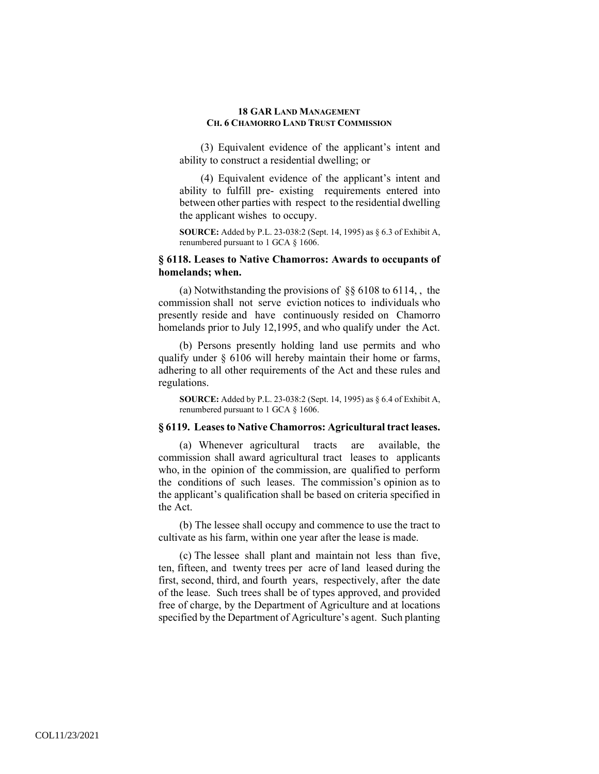(3) Equivalent evidence of the applicant's intent and ability to construct a residential dwelling; or

(4) Equivalent evidence of the applicant's intent and ability to fulfill pre- existing requirements entered into between other parties with respect to the residential dwelling the applicant wishes to occupy.

**SOURCE:** Added by P.L. 23-038:2 (Sept. 14, 1995) as § 6.3 of Exhibit A, renumbered pursuant to 1 GCA § 1606.

# **§ 6118. Leases to Native Chamorros: Awards to occupants of homelands; when.**

(a) Notwithstanding the provisions of §§ 6108 to 6114, , the commission shall not serve eviction notices to individuals who presently reside and have continuously resided on Chamorro homelands prior to July 12,1995, and who qualify under the Act.

(b) Persons presently holding land use permits and who qualify under § 6106 will hereby maintain their home or farms, adhering to all other requirements of the Act and these rules and regulations.

**SOURCE:** Added by P.L. 23-038:2 (Sept. 14, 1995) as § 6.4 of Exhibit A, renumbered pursuant to 1 GCA § 1606.

## **§ 6119. Leases to Native Chamorros: Agricultural tract leases.**

(a) Whenever agricultural tracts are available, the commission shall award agricultural tract leases to applicants who, in the opinion of the commission, are qualified to perform the conditions of such leases. The commission's opinion as to the applicant's qualification shall be based on criteria specified in the Act.

(b) The lessee shall occupy and commence to use the tract to cultivate as his farm, within one year after the lease is made.

(c) The lessee shall plant and maintain not less than five, ten, fifteen, and twenty trees per acre of land leased during the first, second, third, and fourth years, respectively, after the date of the lease. Such trees shall be of types approved, and provided free of charge, by the Department of Agriculture and at locations specified by the Department of Agriculture's agent. Such planting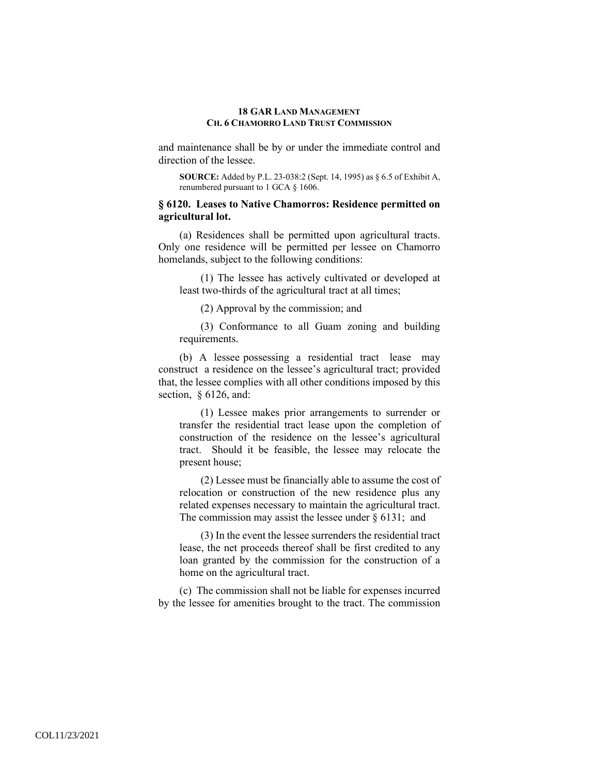and maintenance shall be by or under the immediate control and direction of the lessee.

**SOURCE:** Added by P.L. 23-038:2 (Sept. 14, 1995) as § 6.5 of Exhibit A, renumbered pursuant to 1 GCA § 1606.

## **§ 6120. Leases to Native Chamorros: Residence permitted on agricultural lot.**

(a) Residences shall be permitted upon agricultural tracts. Only one residence will be permitted per lessee on Chamorro homelands, subject to the following conditions:

(1) The lessee has actively cultivated or developed at least two-thirds of the agricultural tract at all times;

(2) Approval by the commission; and

(3) Conformance to all Guam zoning and building requirements.

(b) A lessee possessing a residential tract lease may construct a residence on the lessee's agricultural tract; provided that, the lessee complies with all other conditions imposed by this section, § 6126, and:

(1) Lessee makes prior arrangements to surrender or transfer the residential tract lease upon the completion of construction of the residence on the lessee's agricultural tract. Should it be feasible, the lessee may relocate the present house;

(2) Lessee must be financially able to assume the cost of relocation or construction of the new residence plus any related expenses necessary to maintain the agricultural tract. The commission may assist the lessee under  $\S 6131$ ; and

(3) In the event the lessee surrenders the residential tract lease, the net proceeds thereof shall be first credited to any loan granted by the commission for the construction of a home on the agricultural tract.

(c) The commission shall not be liable for expenses incurred by the lessee for amenities brought to the tract. The commission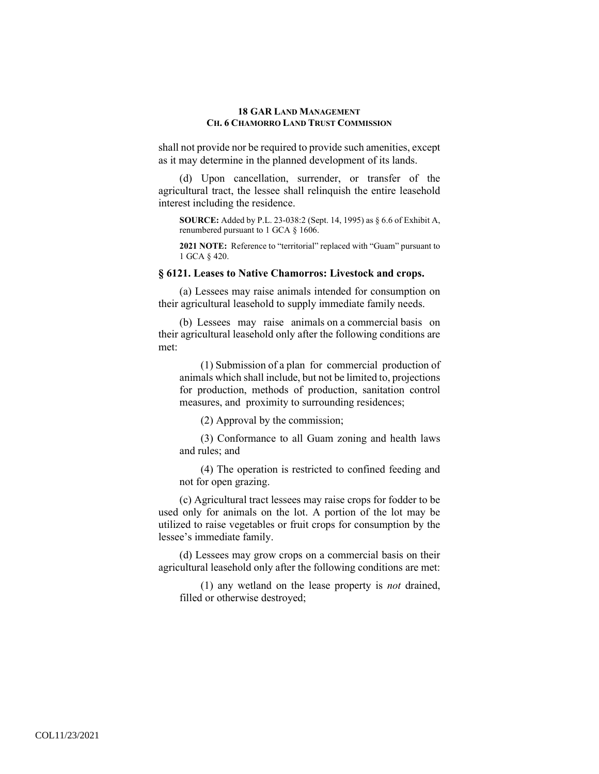shall not provide nor be required to provide such amenities, except as it may determine in the planned development of its lands.

(d) Upon cancellation, surrender, or transfer of the agricultural tract, the lessee shall relinquish the entire leasehold interest including the residence.

**SOURCE:** Added by P.L. 23-038:2 (Sept. 14, 1995) as § 6.6 of Exhibit A, renumbered pursuant to 1 GCA § 1606.

**2021 NOTE:** Reference to "territorial" replaced with "Guam" pursuant to 1 GCA § 420.

## **§ 6121. Leases to Native Chamorros: Livestock and crops.**

(a) Lessees may raise animals intended for consumption on their agricultural leasehold to supply immediate family needs.

(b) Lessees may raise animals on a commercial basis on their agricultural leasehold only after the following conditions are met:

(1) Submission of a plan for commercial production of animals which shall include, but not be limited to, projections for production, methods of production, sanitation control measures, and proximity to surrounding residences;

(2) Approval by the commission;

(3) Conformance to all Guam zoning and health laws and rules; and

(4) The operation is restricted to confined feeding and not for open grazing.

(c) Agricultural tract lessees may raise crops for fodder to be used only for animals on the lot. A portion of the lot may be utilized to raise vegetables or fruit crops for consumption by the lessee's immediate family.

(d) Lessees may grow crops on a commercial basis on their agricultural leasehold only after the following conditions are met:

(1) any wetland on the lease property is *not* drained, filled or otherwise destroyed;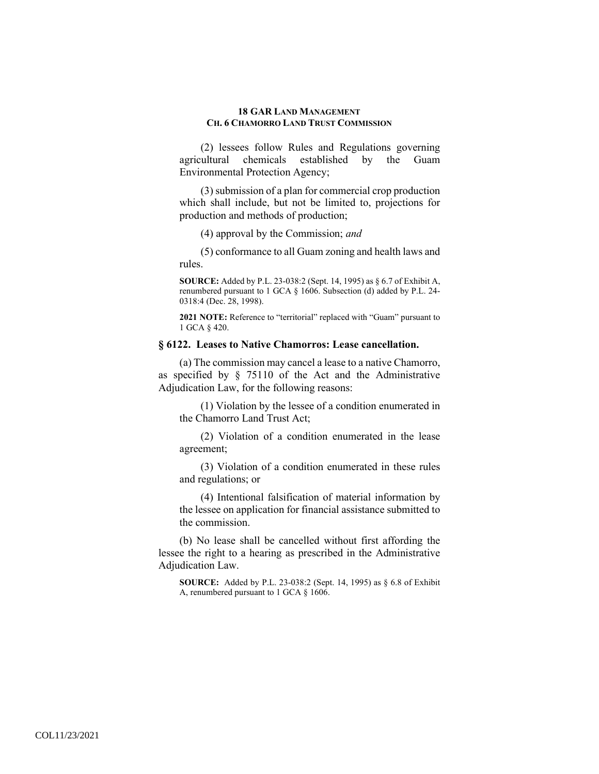(2) lessees follow Rules and Regulations governing agricultural chemicals established by the Guam Environmental Protection Agency;

(3) submission of a plan for commercial crop production which shall include, but not be limited to, projections for production and methods of production;

(4) approval by the Commission; *and* 

(5) conformance to all Guam zoning and health laws and rules.

**SOURCE:** Added by P.L. 23-038:2 (Sept. 14, 1995) as § 6.7 of Exhibit A, renumbered pursuant to 1 GCA § 1606. Subsection (d) added by P.L. 24- 0318:4 (Dec. 28, 1998).

**2021 NOTE:** Reference to "territorial" replaced with "Guam" pursuant to 1 GCA § 420.

## **§ 6122. Leases to Native Chamorros: Lease cancellation.**

(a) The commission may cancel a lease to a native Chamorro, as specified by § 75110 of the Act and the Administrative Adjudication Law, for the following reasons:

(1) Violation by the lessee of a condition enumerated in the Chamorro Land Trust Act;

(2) Violation of a condition enumerated in the lease agreement;

(3) Violation of a condition enumerated in these rules and regulations; or

(4) Intentional falsification of material information by the lessee on application for financial assistance submitted to the commission.

(b) No lease shall be cancelled without first affording the lessee the right to a hearing as prescribed in the Administrative Adjudication Law.

**SOURCE:** Added by P.L. 23-038:2 (Sept. 14, 1995) as § 6.8 of Exhibit A, renumbered pursuant to 1 GCA § 1606.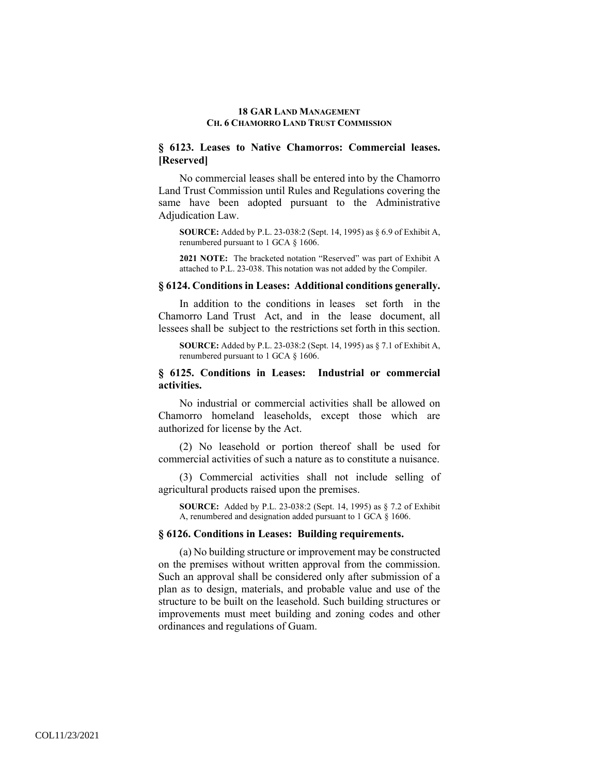# **§ 6123. Leases to Native Chamorros: Commercial leases. [Reserved]**

No commercial leases shall be entered into by the Chamorro Land Trust Commission until Rules and Regulations covering the same have been adopted pursuant to the Administrative Adjudication Law.

**SOURCE:** Added by P.L. 23-038:2 (Sept. 14, 1995) as § 6.9 of Exhibit A, renumbered pursuant to 1 GCA § 1606.

**2021 NOTE:** The bracketed notation "Reserved" was part of Exhibit A attached to P.L. 23-038. This notation was not added by the Compiler.

## **§ 6124. Conditions in Leases: Additional conditions generally.**

In addition to the conditions in leases set forth in the Chamorro Land Trust Act, and in the lease document, all lessees shall be subject to the restrictions set forth in this section.

**SOURCE:** Added by P.L. 23-038:2 (Sept. 14, 1995) as § 7.1 of Exhibit A, renumbered pursuant to 1 GCA § 1606.

## **§ 6125. Conditions in Leases: Industrial or commercial activities.**

No industrial or commercial activities shall be allowed on Chamorro homeland leaseholds, except those which are authorized for license by the Act.

(2) No leasehold or portion thereof shall be used for commercial activities of such a nature as to constitute a nuisance.

(3) Commercial activities shall not include selling of agricultural products raised upon the premises.

**SOURCE:** Added by P.L. 23-038:2 (Sept. 14, 1995) as § 7.2 of Exhibit A, renumbered and designation added pursuant to 1 GCA § 1606.

#### **§ 6126. Conditions in Leases: Building requirements.**

(a) No building structure or improvement may be constructed on the premises without written approval from the commission. Such an approval shall be considered only after submission of a plan as to design, materials, and probable value and use of the structure to be built on the leasehold. Such building structures or improvements must meet building and zoning codes and other ordinances and regulations of Guam.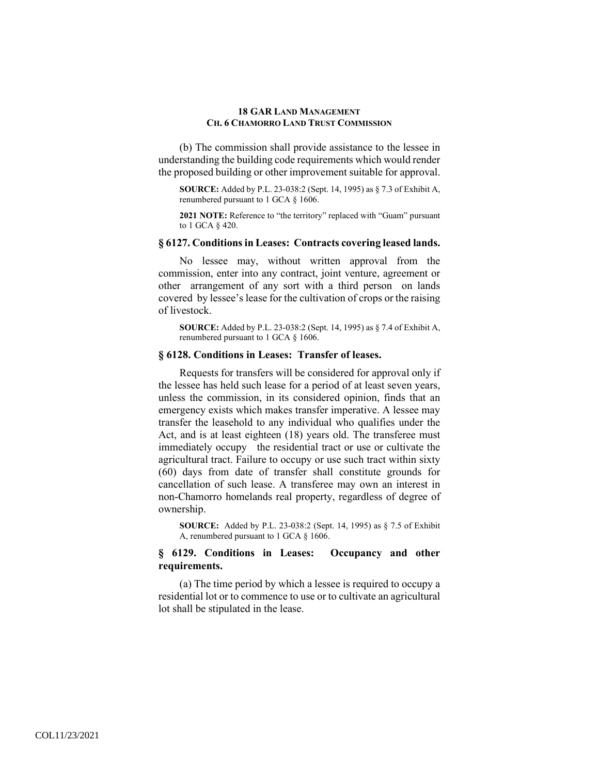(b) The commission shall provide assistance to the lessee in understanding the building code requirements which would render the proposed building or other improvement suitable for approval.

**SOURCE:** Added by P.L. 23-038:2 (Sept. 14, 1995) as § 7.3 of Exhibit A, renumbered pursuant to 1 GCA § 1606.

**2021 NOTE:** Reference to "the territory" replaced with "Guam" pursuant to 1 GCA § 420.

### **§ 6127. Conditions in Leases: Contracts covering leased lands.**

No lessee may, without written approval from the commission, enter into any contract, joint venture, agreement or other arrangement of any sort with a third person on lands covered by lessee's lease for the cultivation of crops or the raising of livestock.

**SOURCE:** Added by P.L. 23-038:2 (Sept. 14, 1995) as § 7.4 of Exhibit A, renumbered pursuant to 1 GCA § 1606.

## **§ 6128. Conditions in Leases: Transfer of leases.**

Requests for transfers will be considered for approval only if the lessee has held such lease for a period of at least seven years, unless the commission, in its considered opinion, finds that an emergency exists which makes transfer imperative. A lessee may transfer the leasehold to any individual who qualifies under the Act, and is at least eighteen (18) years old. The transferee must immediately occupy the residential tract or use or cultivate the agricultural tract. Failure to occupy or use such tract within sixty (60) days from date of transfer shall constitute grounds for cancellation of such lease. A transferee may own an interest in non-Chamorro homelands real property, regardless of degree of ownership.

**SOURCE:** Added by P.L. 23-038:2 (Sept. 14, 1995) as § 7.5 of Exhibit A, renumbered pursuant to 1 GCA § 1606.

# **§ 6129. Conditions in Leases: Occupancy and other requirements.**

(a) The time period by which a lessee is required to occupy a residential lot or to commence to use or to cultivate an agricultural lot shall be stipulated in the lease.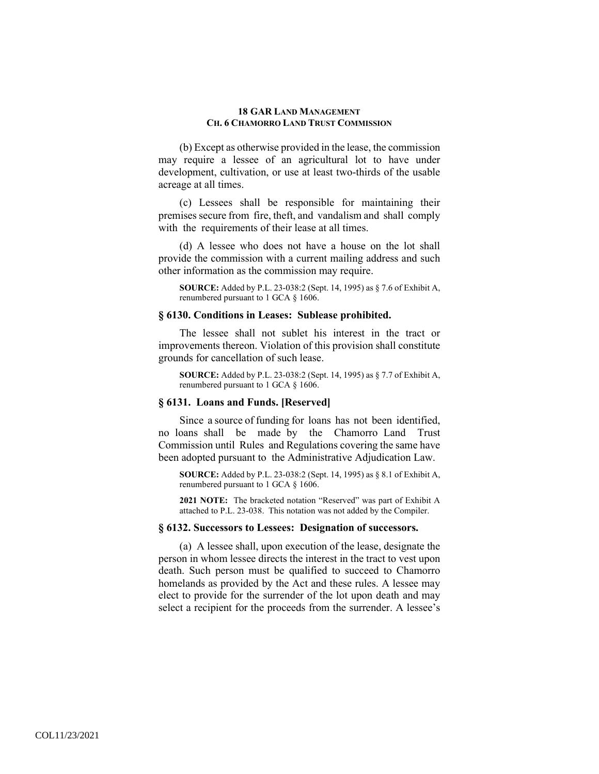(b) Except as otherwise provided in the lease, the commission may require a lessee of an agricultural lot to have under development, cultivation, or use at least two-thirds of the usable acreage at all times.

(c) Lessees shall be responsible for maintaining their premises secure from fire, theft, and vandalism and shall comply with the requirements of their lease at all times.

(d) A lessee who does not have a house on the lot shall provide the commission with a current mailing address and such other information as the commission may require.

**SOURCE:** Added by P.L. 23-038:2 (Sept. 14, 1995) as § 7.6 of Exhibit A, renumbered pursuant to 1 GCA § 1606.

#### **§ 6130. Conditions in Leases: Sublease prohibited.**

The lessee shall not sublet his interest in the tract or improvements thereon. Violation of this provision shall constitute grounds for cancellation of such lease.

**SOURCE:** Added by P.L. 23-038:2 (Sept. 14, 1995) as § 7.7 of Exhibit A, renumbered pursuant to 1 GCA § 1606.

# **§ 6131. Loans and Funds. [Reserved]**

Since a source of funding for loans has not been identified, no loans shall be made by the Chamorro Land Trust Commission until Rules and Regulations covering the same have been adopted pursuant to the Administrative Adjudication Law.

**SOURCE:** Added by P.L. 23-038:2 (Sept. 14, 1995) as § 8.1 of Exhibit A, renumbered pursuant to 1 GCA § 1606.

**2021 NOTE:** The bracketed notation "Reserved" was part of Exhibit A attached to P.L. 23-038. This notation was not added by the Compiler.

## **§ 6132. Successors to Lessees: Designation of successors.**

(a) A lessee shall, upon execution of the lease, designate the person in whom lessee directs the interest in the tract to vest upon death. Such person must be qualified to succeed to Chamorro homelands as provided by the Act and these rules. A lessee may elect to provide for the surrender of the lot upon death and may select a recipient for the proceeds from the surrender. A lessee's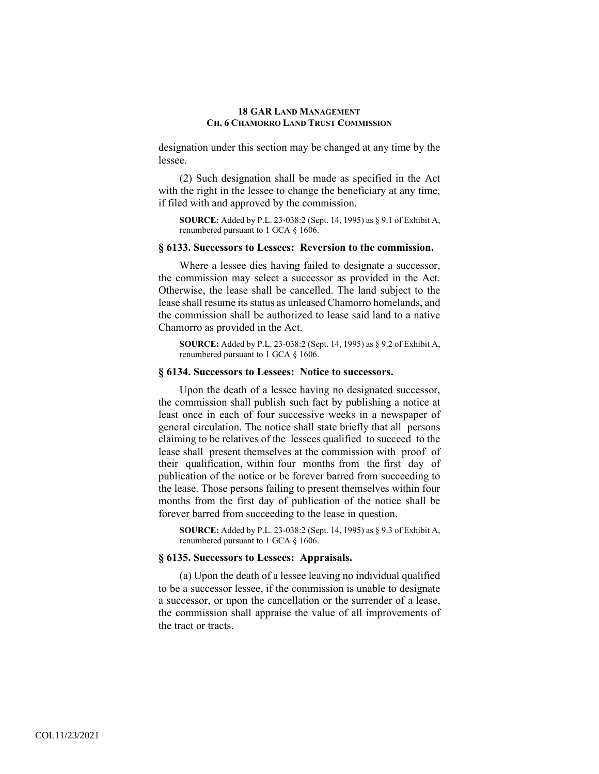designation under this section may be changed at any time by the lessee.

(2) Such designation shall be made as specified in the Act with the right in the lessee to change the beneficiary at any time, if filed with and approved by the commission.

**SOURCE:** Added by P.L. 23-038:2 (Sept. 14, 1995) as § 9.1 of Exhibit A, renumbered pursuant to 1 GCA § 1606.

## **§ 6133. Successors to Lessees: Reversion to the commission.**

Where a lessee dies having failed to designate a successor, the commission may select a successor as provided in the Act. Otherwise, the lease shall be cancelled. The land subject to the lease shall resume its status as unleased Chamorro homelands, and the commission shall be authorized to lease said land to a native Chamorro as provided in the Act.

**SOURCE:** Added by P.L. 23-038:2 (Sept. 14, 1995) as § 9.2 of Exhibit A, renumbered pursuant to 1 GCA § 1606.

## **§ 6134. Successors to Lessees: Notice to successors.**

Upon the death of a lessee having no designated successor, the commission shall publish such fact by publishing a notice at least once in each of four successive weeks in a newspaper of general circulation. The notice shall state briefly that all persons claiming to be relatives of the lessees qualified to succeed to the lease shall present themselves at the commission with proof of their qualification, within four months from the first day of publication of the notice or be forever barred from succeeding to the lease. Those persons failing to present themselves within four months from the first day of publication of the notice shall be forever barred from succeeding to the lease in question.

**SOURCE:** Added by P.L. 23-038:2 (Sept. 14, 1995) as § 9.3 of Exhibit A, renumbered pursuant to 1 GCA § 1606.

### **§ 6135. Successors to Lessees: Appraisals.**

(a) Upon the death of a lessee leaving no individual qualified to be a successor lessee, if the commission is unable to designate a successor, or upon the cancellation or the surrender of a lease, the commission shall appraise the value of all improvements of the tract or tracts.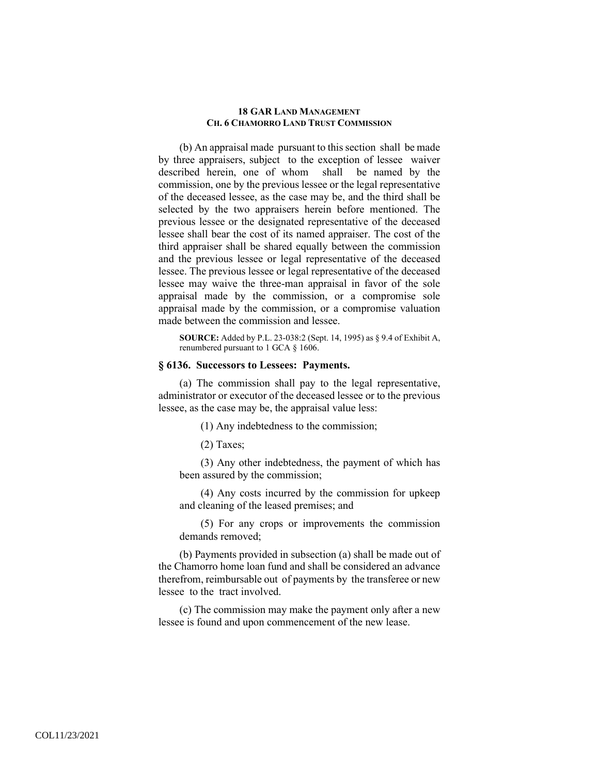(b) An appraisal made pursuant to this section shall be made by three appraisers, subject to the exception of lessee waiver described herein, one of whom shall be named by the commission, one by the previous lessee or the legal representative of the deceased lessee, as the case may be, and the third shall be selected by the two appraisers herein before mentioned. The previous lessee or the designated representative of the deceased lessee shall bear the cost of its named appraiser. The cost of the third appraiser shall be shared equally between the commission and the previous lessee or legal representative of the deceased lessee. The previous lessee or legal representative of the deceased lessee may waive the three-man appraisal in favor of the sole appraisal made by the commission, or a compromise sole appraisal made by the commission, or a compromise valuation made between the commission and lessee.

**SOURCE:** Added by P.L. 23-038:2 (Sept. 14, 1995) as § 9.4 of Exhibit A, renumbered pursuant to 1 GCA § 1606.

## **§ 6136. Successors to Lessees: Payments.**

(a) The commission shall pay to the legal representative, administrator or executor of the deceased lessee or to the previous lessee, as the case may be, the appraisal value less:

(1) Any indebtedness to the commission;

(2) Taxes;

(3) Any other indebtedness, the payment of which has been assured by the commission;

(4) Any costs incurred by the commission for upkeep and cleaning of the leased premises; and

(5) For any crops or improvements the commission demands removed;

(b) Payments provided in subsection (a) shall be made out of the Chamorro home loan fund and shall be considered an advance therefrom, reimbursable out of payments by the transferee or new lessee to the tract involved.

(c) The commission may make the payment only after a new lessee is found and upon commencement of the new lease.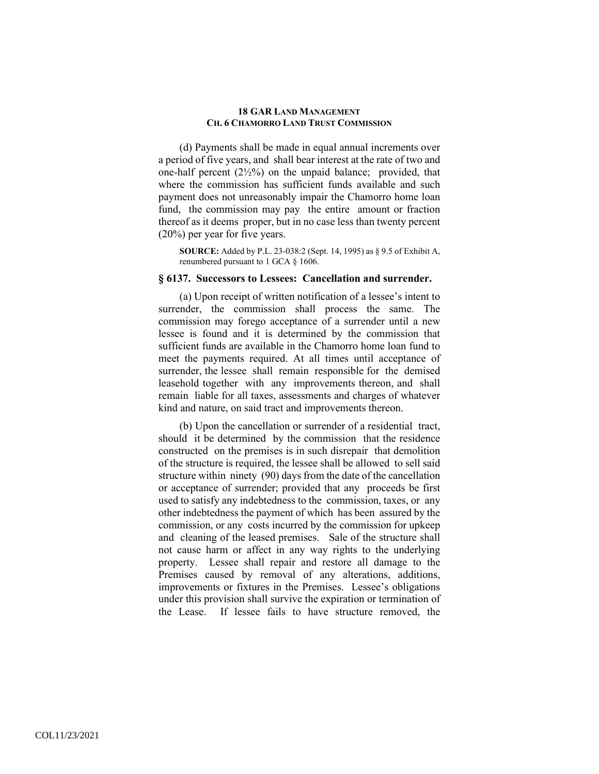(d) Payments shall be made in equal annual increments over a period of five years, and shall bear interest at the rate of two and one-half percent  $(2\frac{1}{2}\%)$  on the unpaid balance; provided, that where the commission has sufficient funds available and such payment does not unreasonably impair the Chamorro home loan fund, the commission may pay the entire amount or fraction thereof as it deems proper, but in no case less than twenty percent (20%) per year for five years.

**SOURCE:** Added by P.L. 23-038:2 (Sept. 14, 1995) as § 9.5 of Exhibit A, renumbered pursuant to 1 GCA § 1606.

#### **§ 6137. Successors to Lessees: Cancellation and surrender.**

(a) Upon receipt of written notification of a lessee's intent to surrender, the commission shall process the same. The commission may forego acceptance of a surrender until a new lessee is found and it is determined by the commission that sufficient funds are available in the Chamorro home loan fund to meet the payments required. At all times until acceptance of surrender, the lessee shall remain responsible for the demised leasehold together with any improvements thereon, and shall remain liable for all taxes, assessments and charges of whatever kind and nature, on said tract and improvements thereon.

(b) Upon the cancellation or surrender of a residential tract, should it be determined by the commission that the residence constructed on the premises is in such disrepair that demolition of the structure is required, the lessee shall be allowed to sell said structure within ninety (90) days from the date of the cancellation or acceptance of surrender; provided that any proceeds be first used to satisfy any indebtedness to the commission, taxes, or any other indebtedness the payment of which has been assured by the commission, or any costs incurred by the commission for upkeep and cleaning of the leased premises. Sale of the structure shall not cause harm or affect in any way rights to the underlying property. Lessee shall repair and restore all damage to the Premises caused by removal of any alterations, additions, improvements or fixtures in the Premises. Lessee's obligations under this provision shall survive the expiration or termination of the Lease. If lessee fails to have structure removed, the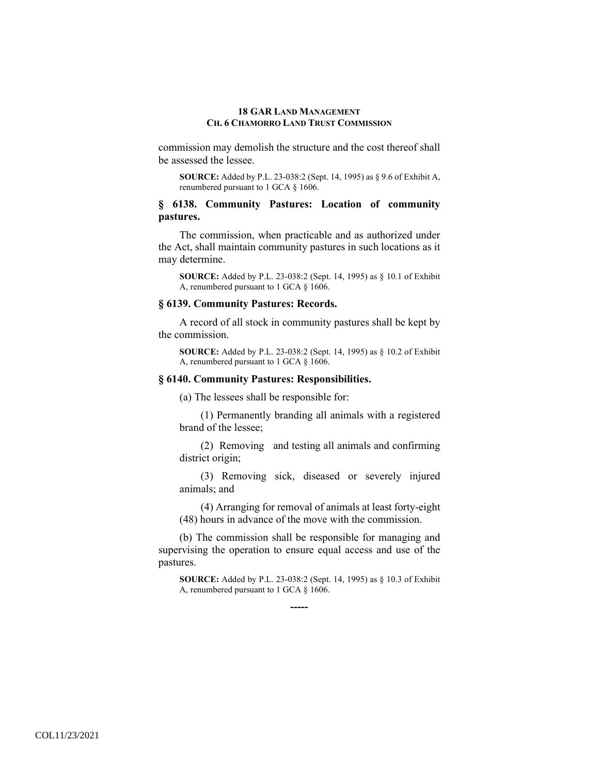commission may demolish the structure and the cost thereof shall be assessed the lessee.

**SOURCE:** Added by P.L. 23-038:2 (Sept. 14, 1995) as § 9.6 of Exhibit A, renumbered pursuant to 1 GCA § 1606.

## **§ 6138. Community Pastures: Location of community pastures.**

The commission, when practicable and as authorized under the Act, shall maintain community pastures in such locations as it may determine.

**SOURCE:** Added by P.L. 23-038:2 (Sept. 14, 1995) as § 10.1 of Exhibit A, renumbered pursuant to 1 GCA § 1606.

#### **§ 6139. Community Pastures: Records.**

A record of all stock in community pastures shall be kept by the commission.

**SOURCE:** Added by P.L. 23-038:2 (Sept. 14, 1995) as § 10.2 of Exhibit A, renumbered pursuant to 1 GCA § 1606.

# **§ 6140. Community Pastures: Responsibilities.**

(a) The lessees shall be responsible for:

(1) Permanently branding all animals with a registered brand of the lessee;

(2) Removing and testing all animals and confirming district origin;

(3) Removing sick, diseased or severely injured animals; and

(4) Arranging for removal of animals at least forty-eight (48) hours in advance of the move with the commission.

(b) The commission shall be responsible for managing and supervising the operation to ensure equal access and use of the pastures.

**-----** 

**SOURCE:** Added by P.L. 23-038:2 (Sept. 14, 1995) as § 10.3 of Exhibit A, renumbered pursuant to 1 GCA § 1606.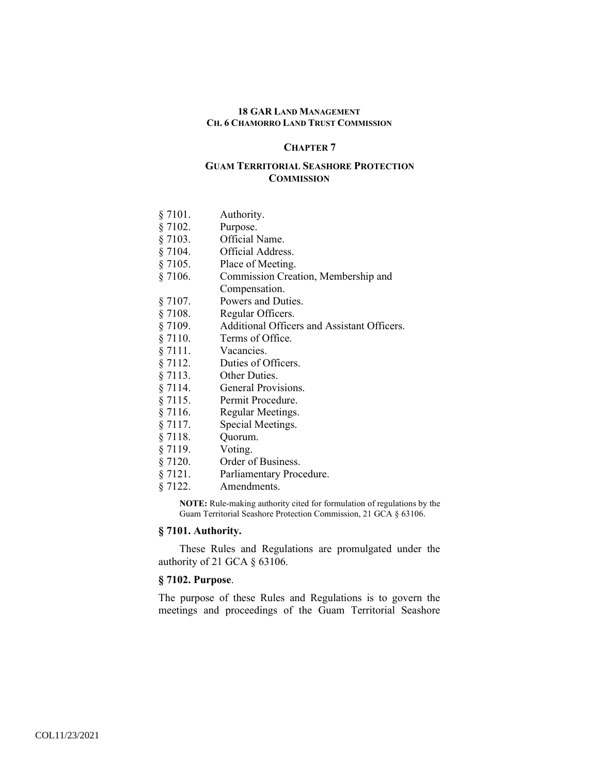### **CHAPTER 7**

## **GUAM TERRITORIAL SEASHORE PROTECTION COMMISSION**

| § 7101. | Authority.                                  |
|---------|---------------------------------------------|
| § 7102. | Purpose.                                    |
| § 7103. | Official Name.                              |
| § 7104. | Official Address.                           |
| § 7105. | Place of Meeting.                           |
| § 7106. | Commission Creation, Membership and         |
|         | Compensation.                               |
| § 7107. | Powers and Duties.                          |
| § 7108. | Regular Officers.                           |
| § 7109. | Additional Officers and Assistant Officers. |
| § 7110. | Terms of Office.                            |
| § 7111. | Vacancies.                                  |
| § 7112. | Duties of Officers.                         |
| § 7113. | Other Duties.                               |
| § 7114. | General Provisions.                         |
| § 7115. | Permit Procedure.                           |
| § 7116. | Regular Meetings.                           |
| § 7117. | Special Meetings.                           |
| § 7118. | Quorum.                                     |
| § 7119. | Voting.                                     |
| 87120   | Ordar of Duginage                           |

- § 7120. Order of Business.
- § 7121. Parliamentary Procedure.
- § 7122. Amendments.

**NOTE:** Rule-making authority cited for formulation of regulations by the Guam Territorial Seashore Protection Commission, 21 GCA § 63106.

# **§ 7101. Authority.**

These Rules and Regulations are promulgated under the authority of 21 GCA § 63106.

# **§ 7102. Purpose**.

The purpose of these Rules and Regulations is to govern the meetings and proceedings of the Guam Territorial Seashore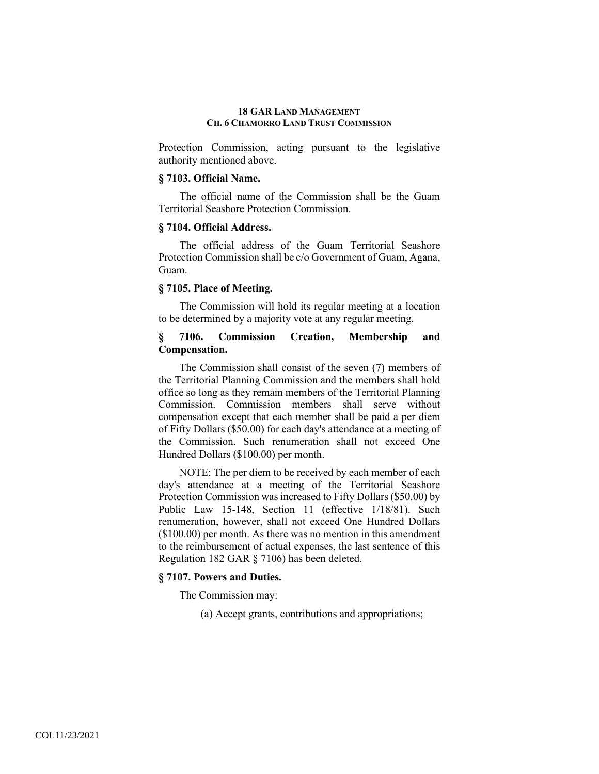Protection Commission, acting pursuant to the legislative authority mentioned above.

## **§ 7103. Official Name.**

The official name of the Commission shall be the Guam Territorial Seashore Protection Commission.

## **§ 7104. Official Address.**

The official address of the Guam Territorial Seashore Protection Commission shall be c/o Government of Guam, Agana, Guam.

## **§ 7105. Place of Meeting.**

The Commission will hold its regular meeting at a location to be determined by a majority vote at any regular meeting.

# **§ 7106. Commission Creation, Membership and Compensation.**

The Commission shall consist of the seven (7) members of the Territorial Planning Commission and the members shall hold office so long as they remain members of the Territorial Planning Commission. Commission members shall serve without compensation except that each member shall be paid a per diem of Fifty Dollars (\$50.00) for each day's attendance at a meeting of the Commission. Such renumeration shall not exceed One Hundred Dollars (\$100.00) per month.

NOTE: The per diem to be received by each member of each day's attendance at a meeting of the Territorial Seashore Protection Commission was increased to Fifty Dollars (\$50.00) by Public Law 15-148, Section 11 (effective 1/18/81). Such renumeration, however, shall not exceed One Hundred Dollars (\$100.00) per month. As there was no mention in this amendment to the reimbursement of actual expenses, the last sentence of this Regulation 182 GAR § 7106) has been deleted.

## **§ 7107. Powers and Duties.**

The Commission may:

(a) Accept grants, contributions and appropriations;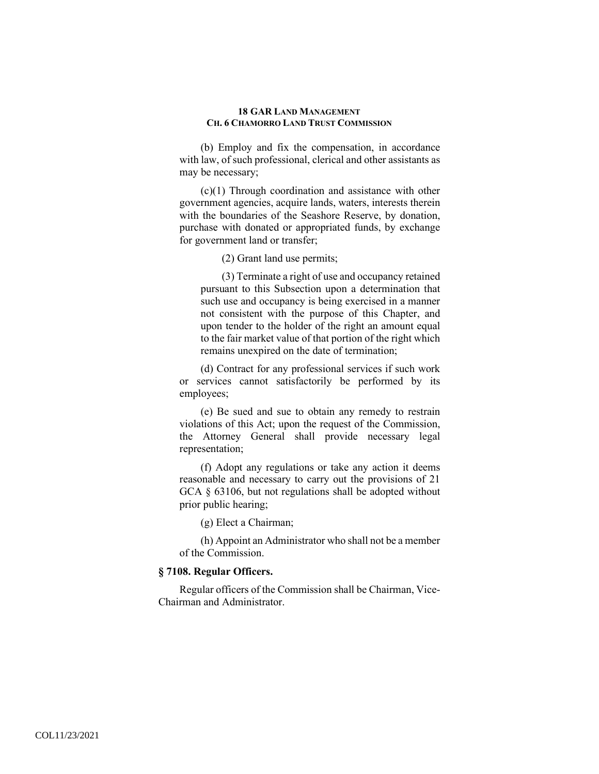(b) Employ and fix the compensation, in accordance with law, of such professional, clerical and other assistants as may be necessary;

(c)(1) Through coordination and assistance with other government agencies, acquire lands, waters, interests therein with the boundaries of the Seashore Reserve, by donation, purchase with donated or appropriated funds, by exchange for government land or transfer;

(2) Grant land use permits;

(3) Terminate a right of use and occupancy retained pursuant to this Subsection upon a determination that such use and occupancy is being exercised in a manner not consistent with the purpose of this Chapter, and upon tender to the holder of the right an amount equal to the fair market value of that portion of the right which remains unexpired on the date of termination;

(d) Contract for any professional services if such work or services cannot satisfactorily be performed by its employees;

(e) Be sued and sue to obtain any remedy to restrain violations of this Act; upon the request of the Commission, the Attorney General shall provide necessary legal representation;

(f) Adopt any regulations or take any action it deems reasonable and necessary to carry out the provisions of 21 GCA § 63106, but not regulations shall be adopted without prior public hearing;

(g) Elect a Chairman;

(h) Appoint an Administrator who shall not be a member of the Commission.

# **§ 7108. Regular Officers.**

Regular officers of the Commission shall be Chairman, Vice-Chairman and Administrator.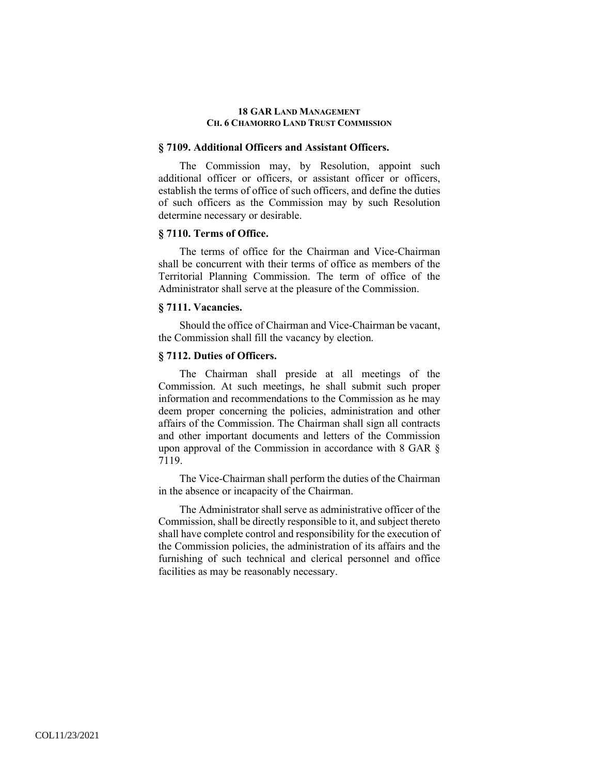### **§ 7109. Additional Officers and Assistant Officers.**

The Commission may, by Resolution, appoint such additional officer or officers, or assistant officer or officers, establish the terms of office of such officers, and define the duties of such officers as the Commission may by such Resolution determine necessary or desirable.

## **§ 7110. Terms of Office.**

The terms of office for the Chairman and Vice-Chairman shall be concurrent with their terms of office as members of the Territorial Planning Commission. The term of office of the Administrator shall serve at the pleasure of the Commission.

## **§ 7111. Vacancies.**

Should the office of Chairman and Vice-Chairman be vacant, the Commission shall fill the vacancy by election.

## **§ 7112. Duties of Officers.**

The Chairman shall preside at all meetings of the Commission. At such meetings, he shall submit such proper information and recommendations to the Commission as he may deem proper concerning the policies, administration and other affairs of the Commission. The Chairman shall sign all contracts and other important documents and letters of the Commission upon approval of the Commission in accordance with 8 GAR § 7119.

The Vice-Chairman shall perform the duties of the Chairman in the absence or incapacity of the Chairman.

The Administrator shall serve as administrative officer of the Commission, shall be directly responsible to it, and subject thereto shall have complete control and responsibility for the execution of the Commission policies, the administration of its affairs and the furnishing of such technical and clerical personnel and office facilities as may be reasonably necessary.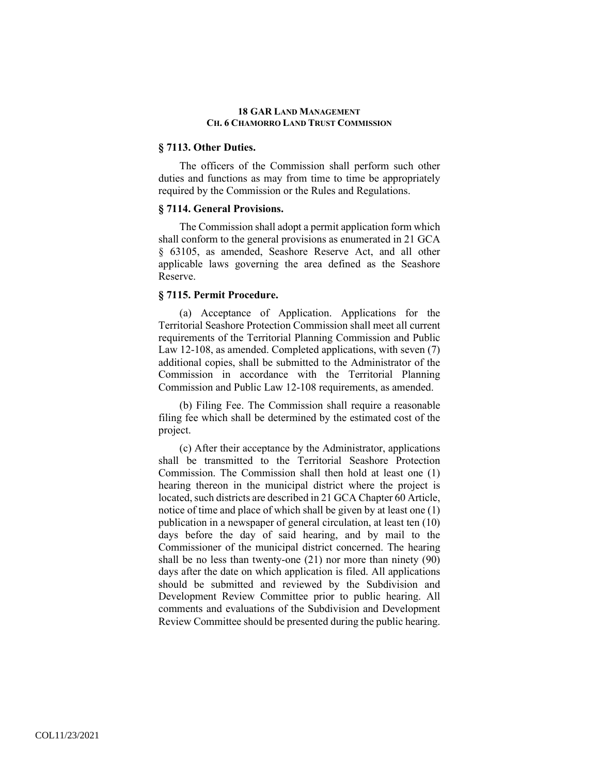## **§ 7113. Other Duties.**

The officers of the Commission shall perform such other duties and functions as may from time to time be appropriately required by the Commission or the Rules and Regulations.

## **§ 7114. General Provisions.**

The Commission shall adopt a permit application form which shall conform to the general provisions as enumerated in 21 GCA § 63105, as amended, Seashore Reserve Act, and all other applicable laws governing the area defined as the Seashore Reserve.

## **§ 7115. Permit Procedure.**

(a) Acceptance of Application. Applications for the Territorial Seashore Protection Commission shall meet all current requirements of the Territorial Planning Commission and Public Law 12-108, as amended. Completed applications, with seven (7) additional copies, shall be submitted to the Administrator of the Commission in accordance with the Territorial Planning Commission and Public Law 12-108 requirements, as amended.

(b) Filing Fee. The Commission shall require a reasonable filing fee which shall be determined by the estimated cost of the project.

(c) After their acceptance by the Administrator, applications shall be transmitted to the Territorial Seashore Protection Commission. The Commission shall then hold at least one (1) hearing thereon in the municipal district where the project is located, such districts are described in 21 GCA Chapter 60 Article, notice of time and place of which shall be given by at least one (1) publication in a newspaper of general circulation, at least ten (10) days before the day of said hearing, and by mail to the Commissioner of the municipal district concerned. The hearing shall be no less than twenty-one (21) nor more than ninety (90) days after the date on which application is filed. All applications should be submitted and reviewed by the Subdivision and Development Review Committee prior to public hearing. All comments and evaluations of the Subdivision and Development Review Committee should be presented during the public hearing.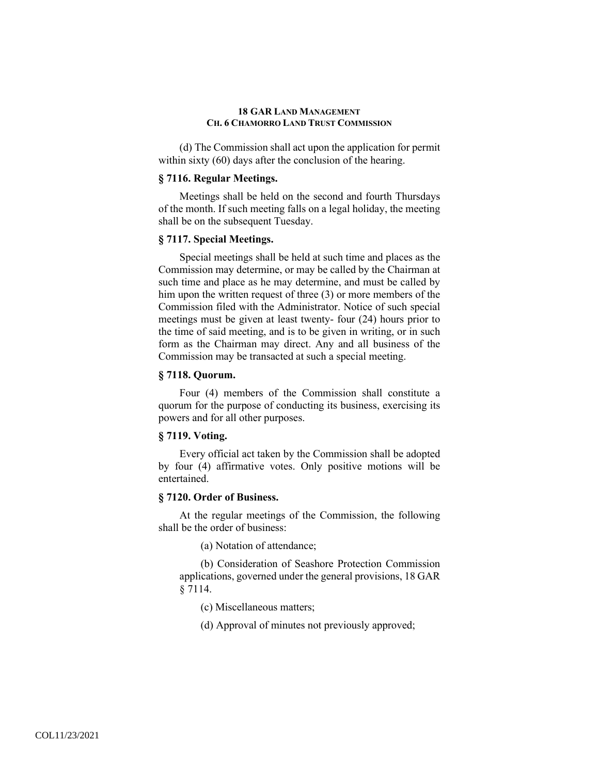(d) The Commission shall act upon the application for permit within sixty (60) days after the conclusion of the hearing.

## **§ 7116. Regular Meetings.**

Meetings shall be held on the second and fourth Thursdays of the month. If such meeting falls on a legal holiday, the meeting shall be on the subsequent Tuesday.

## **§ 7117. Special Meetings.**

Special meetings shall be held at such time and places as the Commission may determine, or may be called by the Chairman at such time and place as he may determine, and must be called by him upon the written request of three (3) or more members of the Commission filed with the Administrator. Notice of such special meetings must be given at least twenty- four (24) hours prior to the time of said meeting, and is to be given in writing, or in such form as the Chairman may direct. Any and all business of the Commission may be transacted at such a special meeting.

#### **§ 7118. Quorum.**

Four (4) members of the Commission shall constitute a quorum for the purpose of conducting its business, exercising its powers and for all other purposes.

## **§ 7119. Voting.**

Every official act taken by the Commission shall be adopted by four (4) affirmative votes. Only positive motions will be entertained.

### **§ 7120. Order of Business.**

At the regular meetings of the Commission, the following shall be the order of business:

(a) Notation of attendance;

(b) Consideration of Seashore Protection Commission applications, governed under the general provisions, 18 GAR § 7114.

(c) Miscellaneous matters;

(d) Approval of minutes not previously approved;